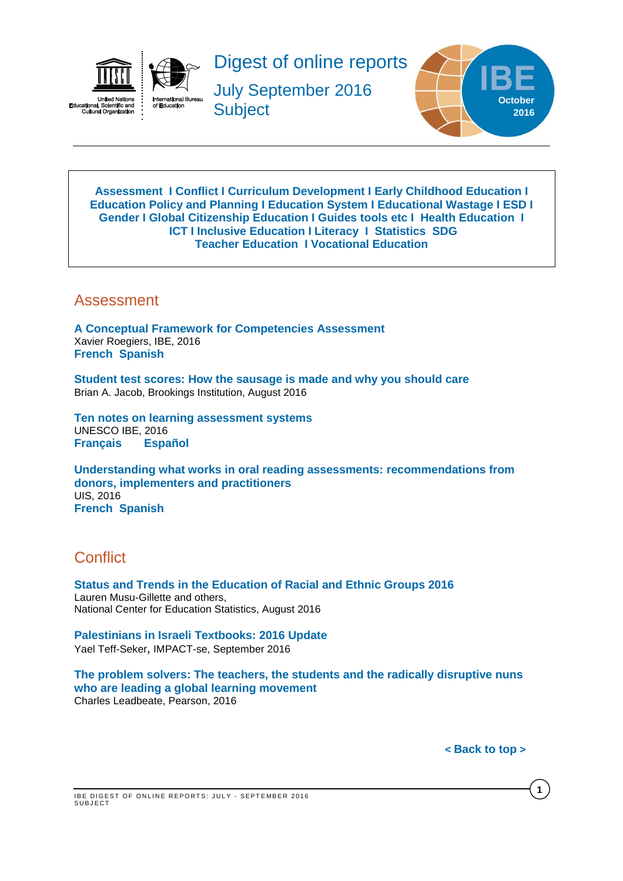

Digest of online reports

July September 2016 **Subject** 



<span id="page-0-2"></span>**[Assessment](#page-0-0) I [Conflict](#page-0-1) I [Curriculum Development](#page-1-0) I [Early Childhood Education](#page-1-1) I [Education Policy and Planning](#page-1-2) I [Education](#page-2-0) System I [Educational Wastage](#page-3-0) I ESD I [Gender](#page-3-1) I Global [Citizenship](#page-4-0) Education I Guides [tools etc](#page-4-1) I Health Education I [ICT](#page-5-0) I [Inclusive Education](#page-5-1) I Literacy I [Statistics](#page-6-0) SDG [Teacher Education](#page-6-1) I Vocational Education**

### <span id="page-0-0"></span>Assessment

**[A Conceptual Framework for Competencies Assessment](http://unesdoc.unesco.org/images/0024/002451/245195e.pdf)** Xavier Roegiers, IBE, 2016 **[French](http://unesdoc.unesco.org/images/0024/002451/245195f.pdf) [Spanish](http://unesdoc.unesco.org/images/0024/002451/245195s.pdf)**

**[Student test scores: How the sausage is made and why you should care](https://www.brookings.edu/wp-content/uploads/2016/08/ccf_20160811_jacob_evidence_speaks1.pdf)** Brian A. Jacob, Brookings Institution, August 2016

**[Ten notes on learning assessment systems](http://unesdoc.unesco.org/images/0024/002457/245774E.pdf)**  UNESCO IBE, 2016 **[Français](http://unesdoc.unesco.org/images/0024/002457/245774F.pdf) [Español](http://www.ibe.unesco.org/sites/default/files/resources/5thspanish_23-9-16.pdf)**

**[Understanding what works in oral reading assessments: recommendations from](http://unesdoc.unesco.org/images/0024/002451/245164e.pdf)  [donors, implementers and practitioners](http://unesdoc.unesco.org/images/0024/002451/245164e.pdf)** UIS, 2016 **[French](http://unesdoc.unesco.org/images/0024/002451/245165f.pdf) [Spanish](http://unesdoc.unesco.org/images/0024/002451/245165s.pdf)**

## <span id="page-0-1"></span>**Conflict**

**[Status and Trends in the Education of Racial and Ethnic Groups 2016](http://nces.ed.gov/pubs2016/2016007.pdf)**  Lauren Musu-Gillette and others, National Center for Education Statistics, August 2016

**[Palestinians in Israeli Textbooks: 2016 Update](http://www.impact-se.org/wp-content/uploads/Palestinians-in-Israeli_Textbooks_2016-Update.pdf)** Yael Teff-Seker, IMPACT-se, September 2016

**[The problem solvers: The teachers, the students and the radically disruptive nuns](https://www.pearson.com/content/dam/corporate/global/pearson-dot-com/files/learning/The_Problem_Solvers_Final.pdf)  [who are leading a global learning movement](https://www.pearson.com/content/dam/corporate/global/pearson-dot-com/files/learning/The_Problem_Solvers_Final.pdf)** Charles Leadbeate, Pearson, 2016

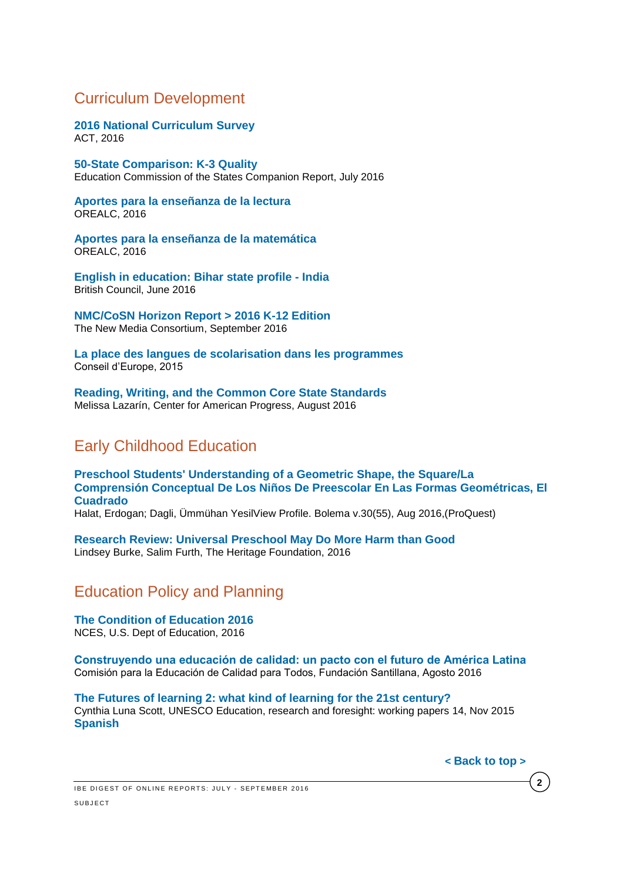### <span id="page-1-0"></span>Curriculum Development

**[2016 National Curriculum Survey](http://www.act.org/content/act/en/research/national-curriculum-survey.html)** ACT, 2016

**[50-State Comparison: K-3 Quality](http://www.ecs.org/ec-content/uploads/50-State_Comparison_K-3_Quality_Companion-Report-1.pdf)** Education Commission of the States Companion Report, July 2016

**[Aportes para la enseñanza de la lectura](http://unesdoc.unesco.org/images/0024/002448/244874s.pdf)** OREALC, 2016

**[Aportes para la enseñanza de la matemática](http://unesdoc.unesco.org/images/0024/002448/244855s.pdf)** OREALC, 2016

**[English in education: Bihar state profile -](http://www.teachingenglish.org.uk/article/bliss-english-profile-report) India** British Council, June 2016

**[NMC/CoSN Horizon Report > 2016 K-12 Edition](http://cdn.nmc.org/media/2016-nmc-cosn-horizon-report-k12-EN.pdf)** The New Media Consortium, September 2016

**[La place des langues de scolarisation dans les programmes](http://www.coe.int/t/dg4/Linguistic/Source/LE_texts_Source/LE%202015/Place-of-languages-of-schooling-in-curricula_FR.pdf)** Conseil d'Europe, 2015

**[Reading, Writing, and the Common Core State Standards](https://cdn.americanprogress.org/wp-content/uploads/2016/08/16084151/ELAmatters-report.pdf)** Melissa Lazarín, Center for American Progress, August 2016

## <span id="page-1-1"></span>Early Childhood Education

**[Preschool Students' Understanding of a](http://search.proquest.com/central/docview/1792745097/ED6D176B5061457FPQ/63?accountid=41859) Geometric Shape, the Square/La [Comprensión Conceptual De Los Niños De Preescolar En Las Formas Geométricas, El](http://search.proquest.com/central/docview/1792745097/ED6D176B5061457FPQ/63?accountid=41859)  [Cuadrado](http://search.proquest.com/central/docview/1792745097/ED6D176B5061457FPQ/63?accountid=41859)**

Halat, Erdogan; Dagli, Ümmühan YesilView Profile. Bolema v.30(55), Aug 2016,(ProQuest)

**[Research Review: Universal Preschool May Do More Harm than Good](http://www.heritage.org/research/reports/2016/05/research-review-universal-preschool-may-do-more-harm-than-good)** Lindsey Burke, Salim Furth, The Heritage Foundation, 2016

## <span id="page-1-2"></span>Education Policy and Planning

**[The Condition of Education 2016](http://nces.ed.gov/pubs2016/2016144.pdf)** NCES, U.S. Dept of Education, 2016

**[Construyendo una educación de calidad: un pacto con el futuro de América Latina](http://www.thedialogue.org/resources/construyendo-una-educacion-de-calidad/)**  Comisión para la Educación de Calidad para Todos, Fundación Santillana, Agosto 2016

**[The Futures of learning 2: what kind of learning for the 21st century?](http://unesdoc.unesco.org/images/0024/002429/242996e.pdf)** Cynthia Luna Scott, UNESCO Education, research and foresight: working papers 14, Nov 2015 **[Spanish](http://unesdoc.unesco.org/images/0024/002429/242996s.pdf)**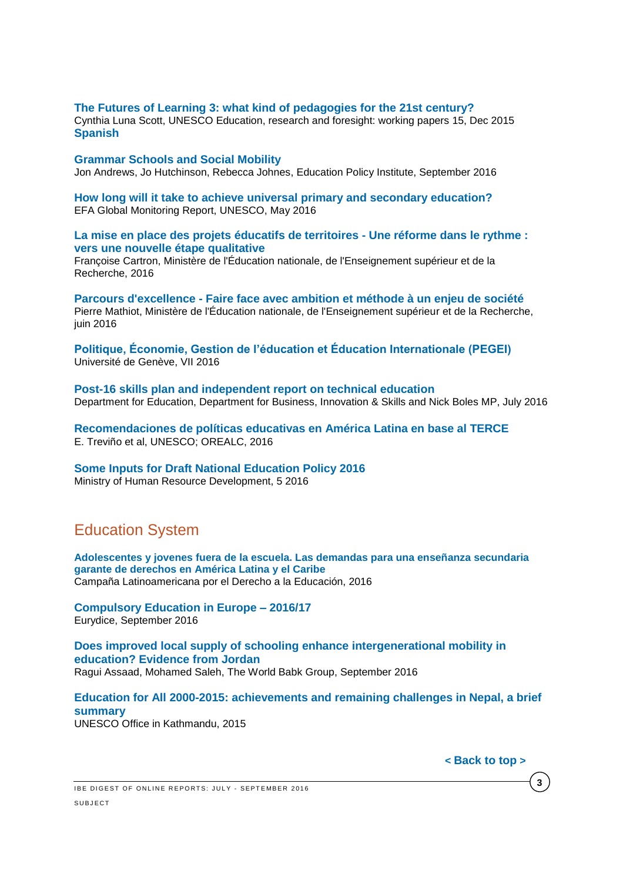#### **[The Futures of Learning 3: what kind of pedagogies for the 21st century?](http://unesdoc.unesco.org/images/0024/002431/243126e.pdf)**

Cynthia Luna Scott, UNESCO Education, research and foresight: working papers 15, Dec 2015 **[Spanish](http://unesdoc.unesco.org/images/0024/002431/243126s.pdf)**

#### **[Grammar Schools and Social Mobility](http://epi.org.uk/wp-content/uploads/2016/09/Grammar-schools-and-social-mobility_.pdf)**

Jon Andrews, Jo Hutchinson, Rebecca Johnes, Education Policy Institute, September 2016

**[How long will it take to achieve universal primary and secondary education?](http://unesdoc.unesco.org/images/0023/002330/233028E.pdf)** EFA Global Monitoring Report, UNESCO, May 2016

#### **[La mise en place des projets éducatifs de territoires -](http://www.ladocumentationfrancaise.fr/var/storage/rapports-publics/164000316.pdf) Une réforme dans le rythme : [vers une nouvelle étape qualitative](http://www.ladocumentationfrancaise.fr/var/storage/rapports-publics/164000316.pdf)**

Françoise Cartron, Ministère de l'Éducation nationale, de l'Enseignement supérieur et de la Recherche, 2016

**Parcours d'excellence - [Faire face avec ambition et méthode à un enjeu de société](http://www.ladocumentationfrancaise.fr/var/storage/rapports-publics/164000380.pdf)** Pierre Mathiot, Ministère de l'Éducation nationale, de l'Enseignement supérieur et de la Recherche, juin 2016

**[Politique, Économie, Gestion de l'éducation et Éducation Internationale \(PEGEI\)](http://www.unige.ch/fapse/pegei/revue/articles/n7/)** Université de Genève, VII 2016

**[Post-16 skills plan and independent report on technical education](https://www.gov.uk/government/publications/post-16-skills-plan-and-independent-report-on-technical-education)** Department for Education, Department for Business, Innovation & Skills and Nick Boles MP, July 2016

**[Recomendaciones de políticas educativas en América Latina en base al TERCE](http://unesdoc.unesco.org/images/0024/002449/244976s.pdf)** E. Treviño et al, UNESCO; OREALC, 2016

### **[Some Inputs for Draft National Education Policy 2016](http://mhrd.gov.in/sites/upload_files/mhrd/files/Inputs_Draft_NEP_2016.pdf)**

Ministry of Human Resource Development, 5 2016

# <span id="page-2-0"></span>Education System

**[Adolescentes y jovenes fuera de la escuela. Las demandas para una enseñanza secundaria](http://v2.campanaderechoeducacion.org/es/publicaciones/clade/publicaciones-tematicas.html)  [garante de derechos en América Latina y el Caribe](http://v2.campanaderechoeducacion.org/es/publicaciones/clade/publicaciones-tematicas.html)** Campaña Latinoamericana por el Derecho a la Educación, 2016

**[Compulsory Education in Europe –](https://webgate.ec.europa.eu/fpfis/mwikis/eurydice/images/2/24/Compulsory_Education_in_Europe_2016_2017.pdf) 2016/17** Eurydice, September 2016

**[Does improved local supply of schooling enhance intergenerational mobility in](http://documents.worldbank.org/curated/en/460051473960777493/pdf/WPS7825.pdf) [education? Evidence from Jordan](http://documents.worldbank.org/curated/en/460051473960777493/pdf/WPS7825.pdf)** Ragui Assaad, Mohamed Saleh, The World Babk Group, September 2016

**[Education for All 2000-2015: achievements and remaining challenges in Nepal, a brief](http://unesdoc.unesco.org/images/0024/002428/242888M.pdf?utm_source=getresponse&utm_medium=email&utm_campaign=unesco_asia_pacific_newsletter&utm_content=UNESCO%20Asia-Pacific%20Newsletter%20-%20July-August%20edition)  [summary](http://unesdoc.unesco.org/images/0024/002428/242888M.pdf?utm_source=getresponse&utm_medium=email&utm_campaign=unesco_asia_pacific_newsletter&utm_content=UNESCO%20Asia-Pacific%20Newsletter%20-%20July-August%20edition)** UNESCO Office in Kathmandu, 2015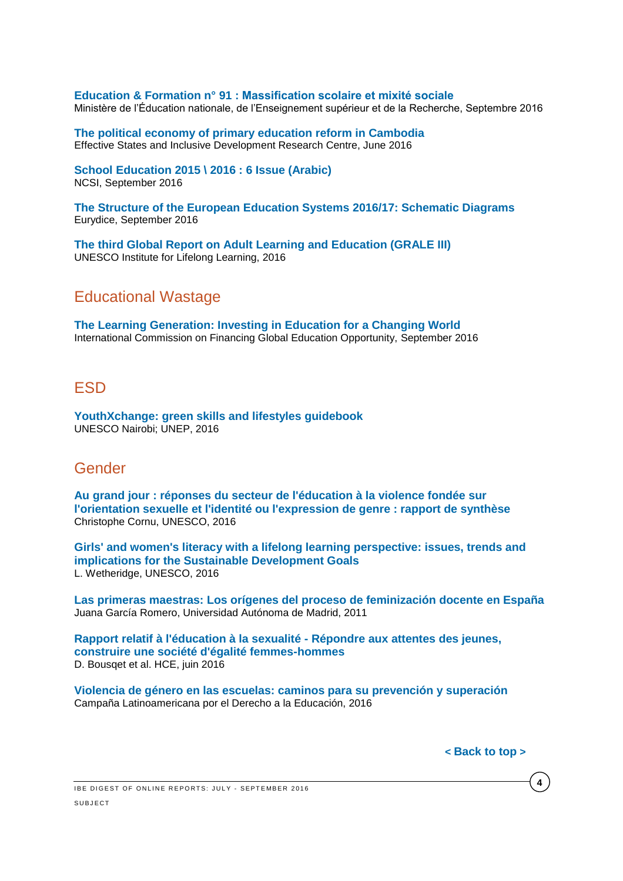**Education & Formation n° 91 [: Massification scolaire et mixité sociale](http://cache.media.education.gouv.fr/file/revue_91/05/4/depp-2016-EF-91_635054.pdf)**  Ministère de l'Éducation nationale, de l'Enseignement supérieur et de la Recherche, Septembre 2016

**[The political economy of primary education reform in Cambodia](http://www.effective-states.org/wp-content/uploads/working_papers/final-pdfs/esid_wp_58_kelsall_khieng_chantha_muy.pdf)** Effective States and Inclusive Development Research Centre, June 2016

**[School Education 2015 \](https://www.ncsi.gov.om/Elibrary/LibraryContentDoc/bar_School%20Education%202015%20-%202016%20_aea9e37d-d67e-4d15-9f4f-c0d029b1a4d1.pdf) 2016 : 6 Issue (Arabic)** NCSI, September 2016

**[The Structure of the European Education Systems 2016/17: Schematic Diagrams](https://webgate.ec.europa.eu/fpfis/mwikis/eurydice/images/9/9d/Structure_of_education_systems_2016_17.pdf)** Eurydice, September 2016

<span id="page-3-0"></span>**[The third Global Report on Adult Learning and Education \(GRALE III\)](http://www.uil.unesco.org/system/files/grale-3.pdf)**  UNESCO Institute for Lifelong Learning, 2016

### Educational Wastage

**[The Learning Generation: Investing in Education for a Changing World](http://report.educationcommission.org/wp-content/uploads/2016/09/Learning_Generation_Full_Report.pdf)** International Commission on Financing Global Education Opportunity, September 2016

### **FSD**

**[YouthXchange: green skills and lifestyles guidebook](http://unesdoc.unesco.org/images/0024/002456/245646e.pdf)** UNESCO Nairobi; UNEP, 2016

### <span id="page-3-1"></span>Gender

**[Au grand jour : réponses du secteur de l'éducation à la violence fondée sur](http://unesdoc.unesco.org/images/0024/002446/244652f.pdf)  [l'orientation sexuelle et l'identité ou l'expression de genre : rapport de synthèse](http://unesdoc.unesco.org/images/0024/002446/244652f.pdf)** Christophe Cornu, UNESCO, 2016

**[Girls' and women's literacy with a lifelong learning perspective: issues, trends and](http://unesdoc.unesco.org/images/0024/002449/244959e.pdf)  [implications for the Sustainable Development Goals](http://unesdoc.unesco.org/images/0024/002449/244959e.pdf)** L. Wetheridge, UNESCO, 2016

**[Las primeras maestras: Los orígenes del proceso de feminización docente en España](https://revistas.uam.es/tendenciaspedagogicas/article/view/2186/2325)** Juana García Romero, Universidad Autónoma de Madrid, 2011

**[Rapport relatif à l'éducation à la sexualité -](http://www.ladocumentationfrancaise.fr/var/storage/rapports-publics/164000367.pdf) Répondre aux attentes des jeunes, [construire une société d'égalité femmes-hommes](http://www.ladocumentationfrancaise.fr/var/storage/rapports-publics/164000367.pdf)** D. Bousqet et al. HCE, juin 2016

**[Violencia de género en las escuelas: caminos para su prevención y superación](http://v2.campanaderechoeducacion.org/es/publicaciones/clade/publicaciones-tematicas.html)** Campaña Latinoamericana por el Derecho a la Educación, 2016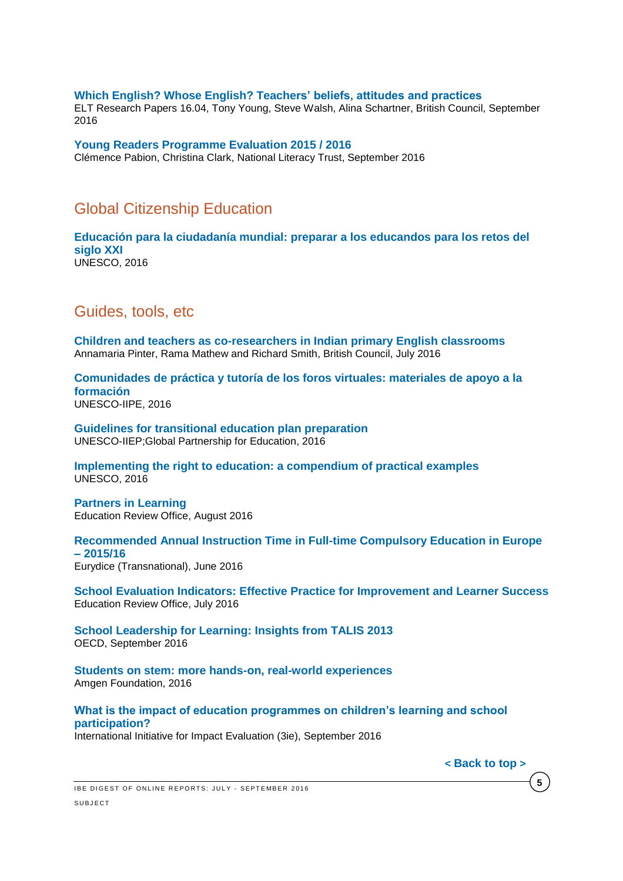#### **[Which English? Whose English? Teachers' beliefs, attitudes and practices](http://www.teachingenglish.org.uk/sites/teacheng/files/G141%20ELTRA%20Which%20English%EF%80%A5%20Whose%20English%EF%80%A5%20Teachers%E2%80%99%20beliefs%20attitudes%20and%20practices_FINAL.pdf)**

ELT Research Papers 16.04, Tony Young, Steve Walsh, Alina Schartner, British Council, September 2016

**[Young Readers Programme Evaluation 2015 / 2016](http://www.literacytrust.org.uk/assets/0003/5000/Young_Readers_Programme_evaluation_2015-16_final_report.pdf)** Clémence Pabion, Christina Clark, National Literacy Trust, September 2016

### <span id="page-4-0"></span>Global Citizenship Education

**[Educación para la ciudadanía mundial: preparar a los educandos para los retos del](http://unesdoc.unesco.org/images/0024/002449/244957s.pdf)  [siglo XXI](http://unesdoc.unesco.org/images/0024/002449/244957s.pdf)** UNESCO, 2016

### <span id="page-4-1"></span>Guides, tools, etc

**[Children and teachers as co-researchers in Indian primary English classrooms](http://www.teachingenglish.org.uk/sites/teacheng/files/27780_ELTRA_Paper_FINAL_0.pdf)**  Annamaria Pinter, Rama Mathew and Richard Smith, British Council, July 2016

**[Comunidades de práctica y tutoría de los foros virtuales: materiales de apoyo a la](http://unesdoc.unesco.org/images/0024/002452/245247s.pdf)  [formación](http://unesdoc.unesco.org/images/0024/002452/245247s.pdf)** UNESCO-IIPE, 2016

**[Guidelines for transitional education plan preparation](http://unesdoc.unesco.org/images/0024/002449/244900e.pdf)** UNESCO-IIEP;Global Partnership for Education, 2016

**[Implementing the right to education: a compendium of practical examples](http://unesdoc.unesco.org/images/0024/002451/245196e.pdf)** UNESCO, 2016

**[Partners in Learning](http://www.ero.govt.nz/assets/Uploads/partners-in-learning.pdf)** Education Review Office, August 2016

**[Recommended Annual Instruction Time in Full-time Compulsory Education in Europe](https://webgate.ec.europa.eu/fpfis/mwikis/eurydice/images/0/0f/197_EN_IT_2016.pdf)  – [2015/16](https://webgate.ec.europa.eu/fpfis/mwikis/eurydice/images/0/0f/197_EN_IT_2016.pdf)** Eurydice (Transnational), June 2016

**[School Evaluation Indicators: Effective Practice for Improvement and Learner Success](http://www.ero.govt.nz/assets/Uploads/ERO-15968-School-Evaluation-Indicators-2016-v10lowres.pdf)** Education Review Office, July 2016

**School Leadership for [Learning: Insights](http://www.oecd-ilibrary.org/education/school-leadership-for-learning_9789264258341-en;jsessionid=vmjt93qujg3u.x-oecd-live-02) from TALIS 2013** OECD, September 2016

**[Students on stem: more hands-on, real-world experiences](http://changetheequation.org/sites/default/files/CTEq%20Amgen%20Brief_FINAL.pdf)** Amgen Foundation, 2016

**[What is the impact of education programmes on children's learning and school](http://www.3ieimpact.org/media/filer_public/2016/09/23/srs7_eer_policy_brief-web.pdf)  [participation?](http://www.3ieimpact.org/media/filer_public/2016/09/23/srs7_eer_policy_brief-web.pdf)** 

International Initiative for Impact Evaluation (3ie), September 2016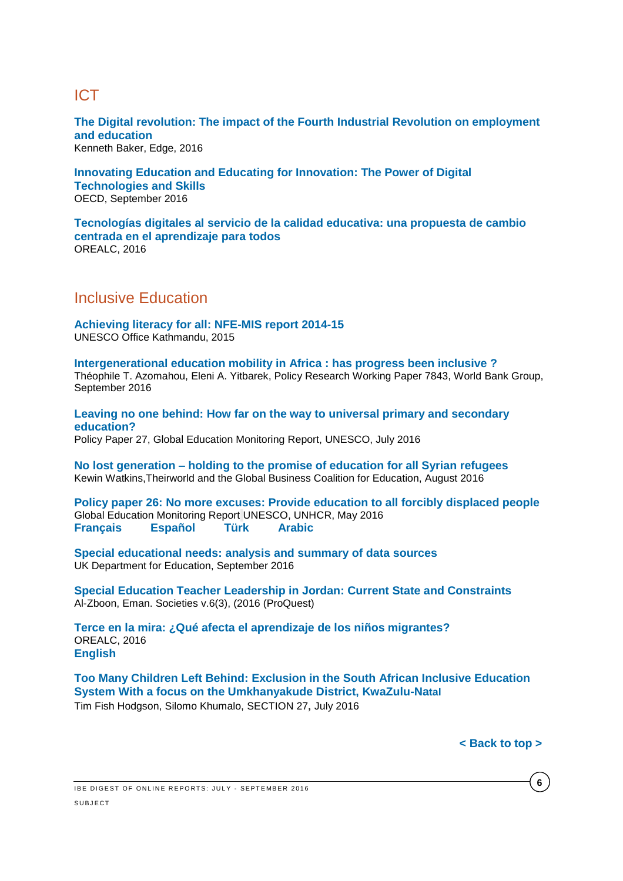# <span id="page-5-0"></span>**ICT**

**[The Digital revolution: The impact of the Fourth Industrial Revolution on employment](http://www.edge.co.uk/media/193777/digital_revolution_web_version.pdf)  [and education](http://www.edge.co.uk/media/193777/digital_revolution_web_version.pdf)**

Kenneth Baker, Edge, 2016

**Innovating Education and Educating for [Innovation: The Power of Digital](http://www.oecd-ilibrary.org/education/innovating-education-and-educating-for-innovation_9789264265097-en;jsessionid=vmjt93qujg3u.x-oecd-live-02)  [Technologies and Skills](http://www.oecd-ilibrary.org/education/innovating-education-and-educating-for-innovation_9789264265097-en;jsessionid=vmjt93qujg3u.x-oecd-live-02)** OECD, September 2016

**[Tecnologías digitales al servicio de la calidad educativa: una propuesta de cambio](http://unesdoc.unesco.org/images/0024/002451/245115s.pdf)  [centrada en el aprendizaje para todos](http://unesdoc.unesco.org/images/0024/002451/245115s.pdf)** OREALC, 2016

<span id="page-5-1"></span>Inclusive Education

**[Achieving literacy for all: NFE-MIS report 2014-15](http://unesdoc.unesco.org/images/0024/002457/245705e.pdf)** UNESCO Office Kathmandu, 2015

**[Intergenerational education mobility in Africa : has progress been inclusive ?](http://documents.worldbank.org/curated/en/379961475169190879/pdf/WPS7843.pdf)** Théophile T. Azomahou, Eleni A. Yitbarek, Policy Research Working Paper 7843, World Bank Group, September 2016

**[Leaving no one behind: How far on the way to universal primary and secondary](http://unesdoc.unesco.org/images/0024/002452/245238E.pdf)  [education?](http://unesdoc.unesco.org/images/0024/002452/245238E.pdf)** 

Policy Paper 27, Global Education Monitoring Report, UNESCO, July 2016

**No lost generation – [holding to the promise of education for all Syrian refugees](http://b.3cdn.net/awas/304cdd77bee3dc886c_9zm6bswbi.pdf)** Kewin Watkins,Theirworld and the Global Business Coalition for Education, August 2016

**[Policy paper 26: No more excuses: Provide education to all forcibly displaced people](http://unesdoc.unesco.org/images/0024/002448/244847E.pdf)** Global Education Monitoring Report UNESCO, UNHCR, May 2016 **[Français](http://unesdoc.unesco.org/images/0024/002448/244847F.pdf) [Español](http://unesdoc.unesco.org/images/0024/002448/244847S.pdf) [Türk](http://unesdoc.unesco.org/images/0024/002448/244847TUR.pdf) [Arabic](http://unesdoc.unesco.org/images/0024/002448/244847a.pdf)**

**[Special educational needs: analysis and summary of data sources](https://www.gov.uk/government/uploads/system/uploads/attachment_data/file/555075/Special_educational_needs_analysis_and_data_sources.pdf)** UK Department for Education, September 2016

**[Special Education Teacher Leadership in Jordan: Current State and Constraints](http://search.proquest.com/central/docview/1803945791/ED6D176B5061457FPQ/34?accountid=41859)** Al-Zboon, Eman. Societies v.6(3), (2016 (ProQuest)

**[Terce en la mira: ¿Qué afecta el aprendizaje de los niños migrantes?](http://unesdoc.unesco.org/images/0024/002450/245060s.pdf)** OREALC, 2016 **[English](http://unesdoc.unesco.org/images/0024/002450/245060e.pdf)**

**[Too Many Children Left Behind: Exclusion in the South African](http://section27.org.za/wp-content/uploads/2016/08/Umkhanyakude-Report-Final-08082016-1.pdf) Inclusive Education [System With a focus on the Umkhanyakude District, KwaZulu-Na](http://section27.org.za/wp-content/uploads/2016/08/Umkhanyakude-Report-Final-08082016-1.pdf)tal**  Tim Fish Hodgson, Silomo Khumalo, SECTION 27, July 2016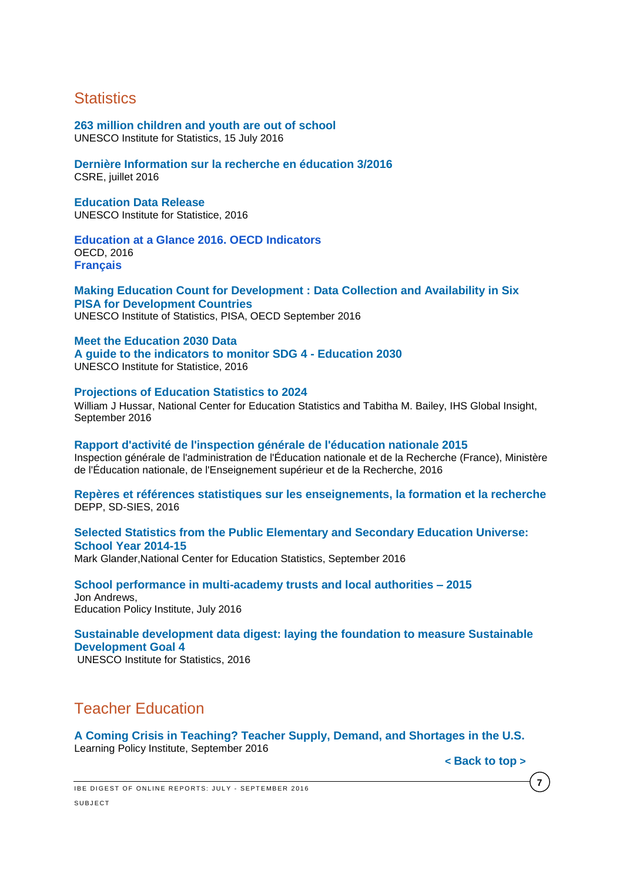### <span id="page-6-0"></span>**Statistics**

### **[263 million children and youth are out of school](http://www.uis.unesco.org/Education/Pages/oosc-data-release-2016.aspx)**

UNESCO Institute for Statistics, 15 July 2016

#### **[Dernière Information sur la recherche en éducation 3/2016](http://www.skbf-csre.ch/fr/recherche-en-education/information/informations-recentes/)** CSRE, juillet 2016

#### **[Education Data Release](http://www.uis.unesco.org/Education/Pages/data-release-june-2016.aspx)**  UNESCO Institute for Statistice, 2016

#### **[Education at a Glance 2016. OECD Indicators](http://www.oecd-ilibrary.org/docserver/download/9616041e.pdf?expires=1474292538&id=id&accname=guest&checksum=34B9BE94CB5F6648641EB03DF355724A)** OECD, 2016 **[Français](http://www.oecd-ilibrary.org/docserver/download/9616042e.pdf?expires=1474292578&id=id&accname=guest&checksum=6A67B72C6CA9489489FE12A7589F23FE)**

#### **[Making Education Count for Development](http://www.oecd-ilibrary.org/docserver/download/9816031e.pdf?expires=1475681118&id=id&accname=guest&checksum=A7A21951F968093E22AA558B0937FD24) : Data Collection and Availability in Six [PISA for Development Countries](http://www.oecd-ilibrary.org/docserver/download/9816031e.pdf?expires=1475681118&id=id&accname=guest&checksum=A7A21951F968093E22AA558B0937FD24)** UNESCO Institute of Statistics, PISA, OECD September 2016

#### **[Meet the Education 2030 Data](http://www.uis.unesco.org/Education/Pages/meet-education-2030-data.aspx)**

**[A guide to the indicators to monitor SDG 4 -](http://www.uis.unesco.org/Education/Pages/meet-education-2030-data.aspx) Education 2030** UNESCO Institute for Statistice, 2016

#### **[Projections of Education Statistics to 2024](http://nces.ed.gov/pubs2016/2016013.pdf)**

William J Hussar, National Center for Education Statistics and Tabitha M. Bailey, IHS Global Insight, September 2016

#### **[Rapport d'activité de l'inspection générale de l'éducation nationale 2015](http://www.ladocumentationfrancaise.fr/var/storage/rapports-publics/164000348.pdf)**

Inspection générale de l'administration de l'Éducation nationale et de la Recherche (France), Ministère de l'Éducation nationale, de l'Enseignement supérieur et de la Recherche, 2016

#### **[Repères et références statistiques sur les enseignements, la formation et la recherche](http://cache.media.education.gouv.fr/file/2016/97/5/depp_rers_2016_614975.pdf)**  DEPP, SD-SIES, 2016

#### **[Selected Statistics from the Public Elementary and Secondary Education Universe:](http://nces.ed.gov/pubs2016/2016076.pdf)  [School Year 2014-15](http://nces.ed.gov/pubs2016/2016076.pdf)**

Mark Glander,National Center for Education Statistics, September 2016

#### **[School performance in multi-academy trusts and local authorities –](http://epi.org.uk/wp-content/uploads/2016/07/school-performance-in-multi-academy-trusts.pdf) 2015** Jon Andrews, Education Policy Institute, July 2016

## **[Sustainable development data digest: laying the foundation to measure Sustainable](http://unesdoc.unesco.org/images/0024/002455/245559e.pdf)  [Development Goal 4](http://unesdoc.unesco.org/images/0024/002455/245559e.pdf)**

UNESCO Institute for Statistics, 2016

# <span id="page-6-1"></span>Teacher Education

**[A Coming Crisis in Teaching? Teacher Supply, Demand, and Shortages in the U.S.](https://learningpolicyinstitute.org/sites/default/files/product-files/A_Coming_Crisis_in_Teaching_REPORT.pdf)** Learning Policy Institute, September 2016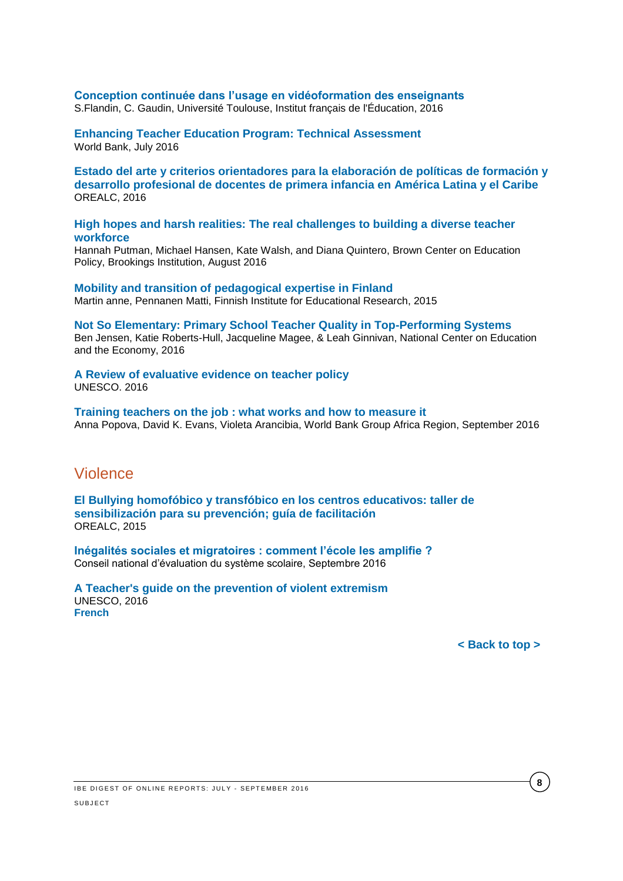## **[Conception continuée dans l'usage en vidéoformation des enseignants](https://hal.archives-ouvertes.fr/hal-01319618/document)**

S.Flandin, C. Gaudin, Université Toulouse, Institut français de l'Éducation, 2016

**[Enhancing Teacher Education Program: Technical Assessment](http://documents.worldbank.org/curated/en/703361469072066414/pdf/107169-WP-P150060-PUBLIC.pdf)** World Bank, July 2016

**[Estado del arte y criterios orientadores para la elaboración de políticas de formación y](http://unesdoc.unesco.org/images/0024/002451/245157s.pdf)  [desarrollo profesional de docentes de primera infancia en América Latina y el Caribe](http://unesdoc.unesco.org/images/0024/002451/245157s.pdf)** OREALC, 2016

#### **[High hopes and harsh realities: The real challenges to building a diverse teacher](https://www.brookings.edu/wp-content/uploads/2016/08/browncenter_20160818_teacherdiversityreportpr_hansen.pdf)  [workforce](https://www.brookings.edu/wp-content/uploads/2016/08/browncenter_20160818_teacherdiversityreportpr_hansen.pdf)**

Hannah Putman, Michael Hansen, Kate Walsh, and Diana Quintero, Brown Center on Education Policy, Brookings Institution, August 2016

**[Mobility and transition of pedagogical expertise in Finland](https://ktl.jyu.fi/julkaisut/julkaisuluettelo/julkaisut/2015/g051.pdf)** Martin anne, Pennanen Matti, Finnish Institute for Educational Research, 2015

**[Not So Elementary: Primary School Teacher Quality in Top-Performing Systems](http://www.ncee.org/wp-content/uploads/2016/07/169726_Not_So_Elementary_Report_FINAL.pdf)** Ben Jensen, Katie Roberts-Hull, Jacqueline Magee, & Leah Ginnivan, National Center on Education and the Economy, 2016

#### **[A Review of evaluative evidence on teacher policy](http://unesdoc.unesco.org/images/0024/002443/244373e.pdf)** UNESCO. 2016

**[Training teachers on the job : what works and how to measure it](http://documents.worldbank.org/curated/en/122031474915232609/pdf/WPS7834.pdf)** Anna Popova, David K. Evans, Violeta Arancibia, World Bank Group Africa Region, September 2016

### Violence

**[El Bullying homofóbico y transfóbico en los centros educativos: taller de](http://unesdoc.unesco.org/images/0024/002448/244841s.pdf)  [sensibilización para su prevención; guía de facilitación](http://unesdoc.unesco.org/images/0024/002448/244841s.pdf)** OREALC, 2015

**[Inégalités sociales et migratoires : comment l'école les amplifie ?](http://www.cnesco.fr/wp-content/uploads/2016/09/270916_Rapport_Inegalites.pdf)** Conseil national d'évaluation du système scolaire, Septembre 2016

#### **[A Teacher's guide on the prevention of violent extremism](http://unesdoc.unesco.org/images/0024/002446/244676e.pdf)** UNESCO, 2016 **[French](http://unesdoc.unesco.org/images/0024/002446/244676f.pdf)**